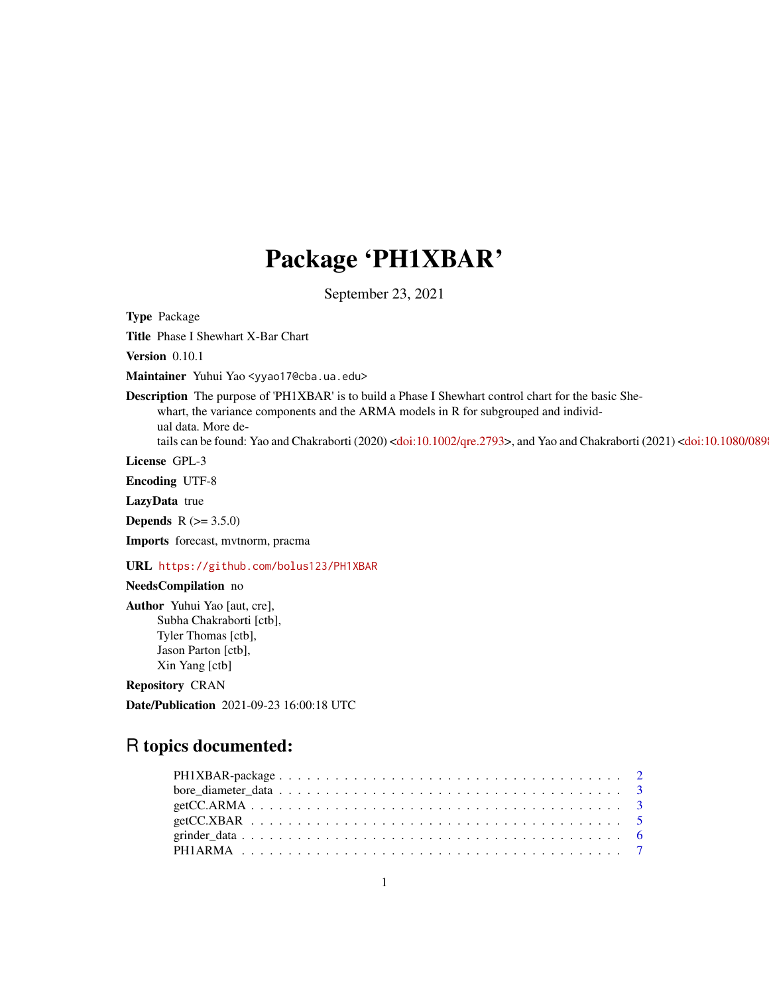## Package 'PH1XBAR'

September 23, 2021

Type Package

Title Phase I Shewhart X-Bar Chart

Version 0.10.1

Maintainer Yuhui Yao <yyao17@cba.ua.edu>

Description The purpose of 'PH1XBAR' is to build a Phase I Shewhart control chart for the basic Shewhart, the variance components and the ARMA models in R for subgrouped and individual data. More de-tails can be found: Yao and Chakraborti (2020) [<doi:10.1002/qre.2793>](https://doi.org/10.1002/qre.2793), and Yao and Chakraborti (2021) <doi:10.1080/089

License GPL-3

Encoding UTF-8

LazyData true

**Depends**  $R$  ( $> = 3.5.0$ )

Imports forecast, mvtnorm, pracma

URL <https://github.com/bolus123/PH1XBAR>

#### NeedsCompilation no

Author Yuhui Yao [aut, cre], Subha Chakraborti [ctb], Tyler Thomas [ctb], Jason Parton [ctb], Xin Yang [ctb]

Repository CRAN

Date/Publication 2021-09-23 16:00:18 UTC

## R topics documented: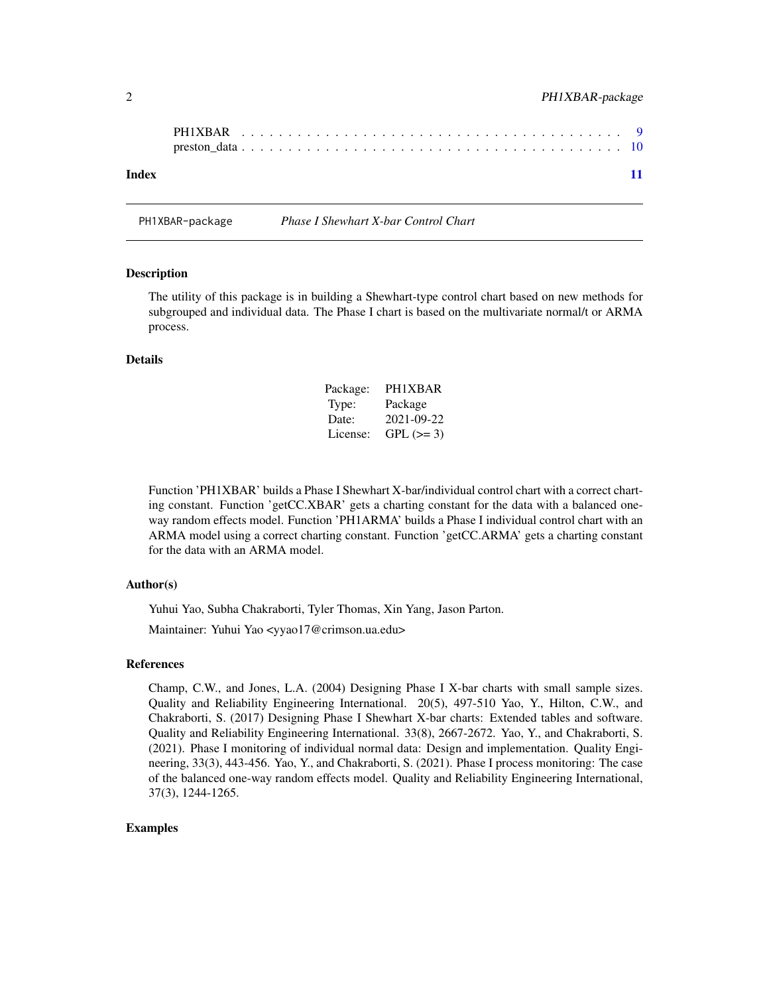<span id="page-1-0"></span>

| Index |  |  |  |  |  |  |  |  |  |  |  |  |  |  |  |  |  | 11 |
|-------|--|--|--|--|--|--|--|--|--|--|--|--|--|--|--|--|--|----|

PH1XBAR-package *Phase I Shewhart X-bar Control Chart*

#### Description

The utility of this package is in building a Shewhart-type control chart based on new methods for subgrouped and individual data. The Phase I chart is based on the multivariate normal/t or ARMA process.

#### Details

| Package: | PH1XBAR    |
|----------|------------|
| Type:    | Package    |
| Date:    | 2021-09-22 |
| License: | $GPL (=3)$ |

Function 'PH1XBAR' builds a Phase I Shewhart X-bar/individual control chart with a correct charting constant. Function 'getCC.XBAR' gets a charting constant for the data with a balanced oneway random effects model. Function 'PH1ARMA' builds a Phase I individual control chart with an ARMA model using a correct charting constant. Function 'getCC.ARMA' gets a charting constant for the data with an ARMA model.

#### Author(s)

Yuhui Yao, Subha Chakraborti, Tyler Thomas, Xin Yang, Jason Parton. Maintainer: Yuhui Yao <yyao17@crimson.ua.edu>

#### References

Champ, C.W., and Jones, L.A. (2004) Designing Phase I X-bar charts with small sample sizes. Quality and Reliability Engineering International. 20(5), 497-510 Yao, Y., Hilton, C.W., and Chakraborti, S. (2017) Designing Phase I Shewhart X-bar charts: Extended tables and software. Quality and Reliability Engineering International. 33(8), 2667-2672. Yao, Y., and Chakraborti, S. (2021). Phase I monitoring of individual normal data: Design and implementation. Quality Engineering, 33(3), 443-456. Yao, Y., and Chakraborti, S. (2021). Phase I process monitoring: The case of the balanced one-way random effects model. Quality and Reliability Engineering International, 37(3), 1244-1265.

#### Examples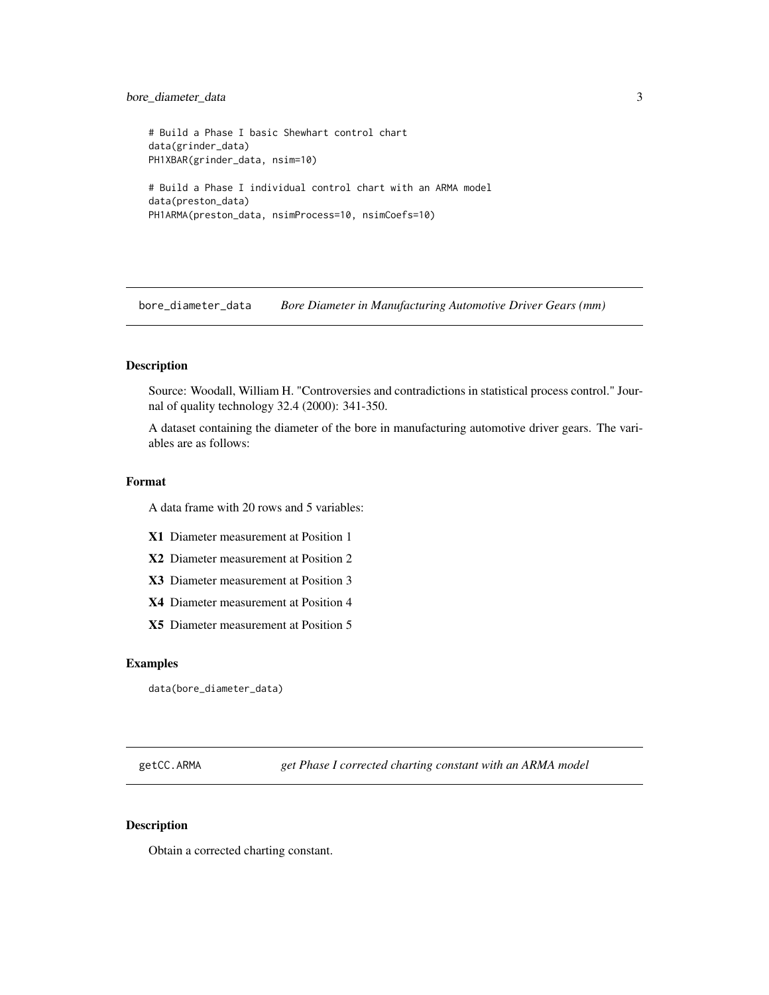## <span id="page-2-0"></span>bore\_diameter\_data 3

```
# Build a Phase I basic Shewhart control chart
data(grinder_data)
PH1XBAR(grinder_data, nsim=10)
# Build a Phase I individual control chart with an ARMA model
data(preston_data)
PH1ARMA(preston_data, nsimProcess=10, nsimCoefs=10)
```
bore\_diameter\_data *Bore Diameter in Manufacturing Automotive Driver Gears (mm)*

## Description

Source: Woodall, William H. "Controversies and contradictions in statistical process control." Journal of quality technology 32.4 (2000): 341-350.

A dataset containing the diameter of the bore in manufacturing automotive driver gears. The variables are as follows:

#### Format

A data frame with 20 rows and 5 variables:

- X1 Diameter measurement at Position 1
- X2 Diameter measurement at Position 2
- X3 Diameter measurement at Position 3
- X4 Diameter measurement at Position 4
- X5 Diameter measurement at Position 5

#### Examples

```
data(bore_diameter_data)
```
getCC.ARMA *get Phase I corrected charting constant with an ARMA model*

#### Description

Obtain a corrected charting constant.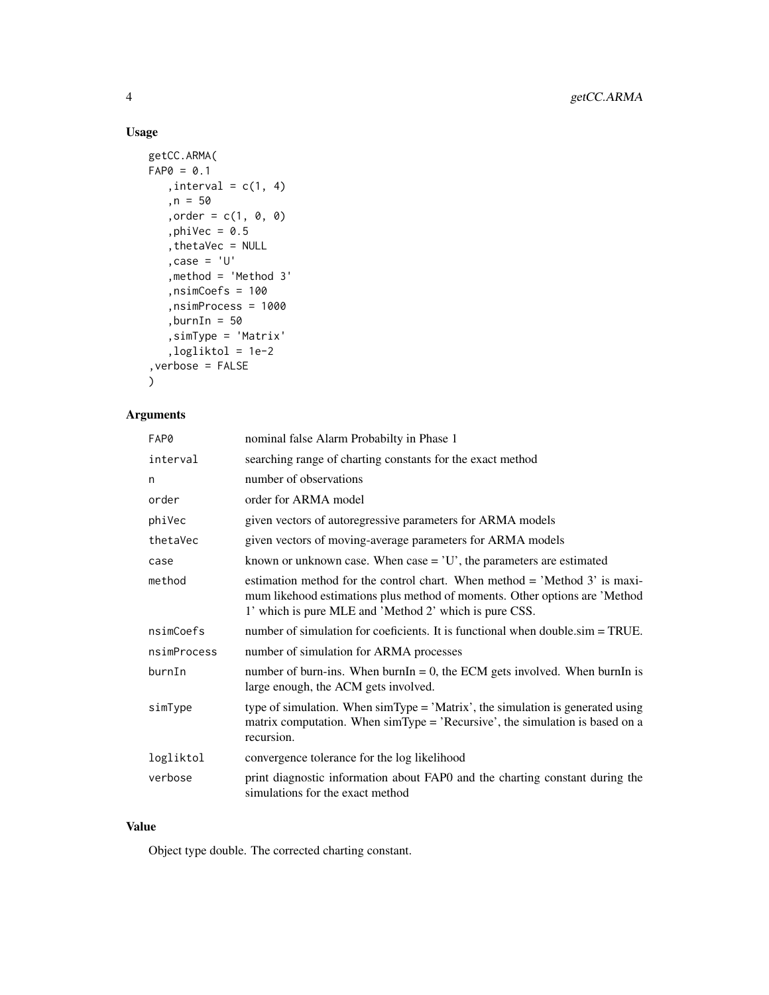## Usage

```
getCC.ARMA(
FAPØ = 0.1, interval = c(1, 4),n = 50, order = c(1, 0, 0),phiVec = 0.5,thetaVec = NULL
   ,case = 'U'
   ,method = 'Method 3'
   ,nsimCoefs = 100
   ,nsimProcess = 1000
   ,burnIn = 50,simType = 'Matrix'
   ,logliktol = 1e-2
,verbose = FALSE
\mathcal{L}
```
## Arguments

| FAP0        | nominal false Alarm Probabilty in Phase 1                                                                                                                                                                          |
|-------------|--------------------------------------------------------------------------------------------------------------------------------------------------------------------------------------------------------------------|
| interval    | searching range of charting constants for the exact method                                                                                                                                                         |
| n           | number of observations                                                                                                                                                                                             |
| order       | order for ARMA model                                                                                                                                                                                               |
| phiVec      | given vectors of autoregressive parameters for ARMA models                                                                                                                                                         |
| thetaVec    | given vectors of moving-average parameters for ARMA models                                                                                                                                                         |
| case        | known or unknown case. When case $=$ $'U'$ , the parameters are estimated                                                                                                                                          |
| method      | estimation method for the control chart. When method = 'Method 3' is maxi-<br>mum likehood estimations plus method of moments. Other options are 'Method<br>1' which is pure MLE and 'Method 2' which is pure CSS. |
| nsimCoefs   | number of simulation for coeficients. It is functional when double.sim = TRUE.                                                                                                                                     |
| nsimProcess | number of simulation for ARMA processes                                                                                                                                                                            |
| burnIn      | number of burn-ins. When burnIn = 0, the ECM gets involved. When burnIn is<br>large enough, the ACM gets involved.                                                                                                 |
| simType     | type of simulation. When $\text{simType} = 'Matrix'$ , the simulation is generated using<br>matrix computation. When simType = 'Recursive', the simulation is based on a<br>recursion.                             |
| logliktol   | convergence tolerance for the log likelihood                                                                                                                                                                       |
| verbose     | print diagnostic information about FAP0 and the charting constant during the<br>simulations for the exact method                                                                                                   |

#### Value

Object type double. The corrected charting constant.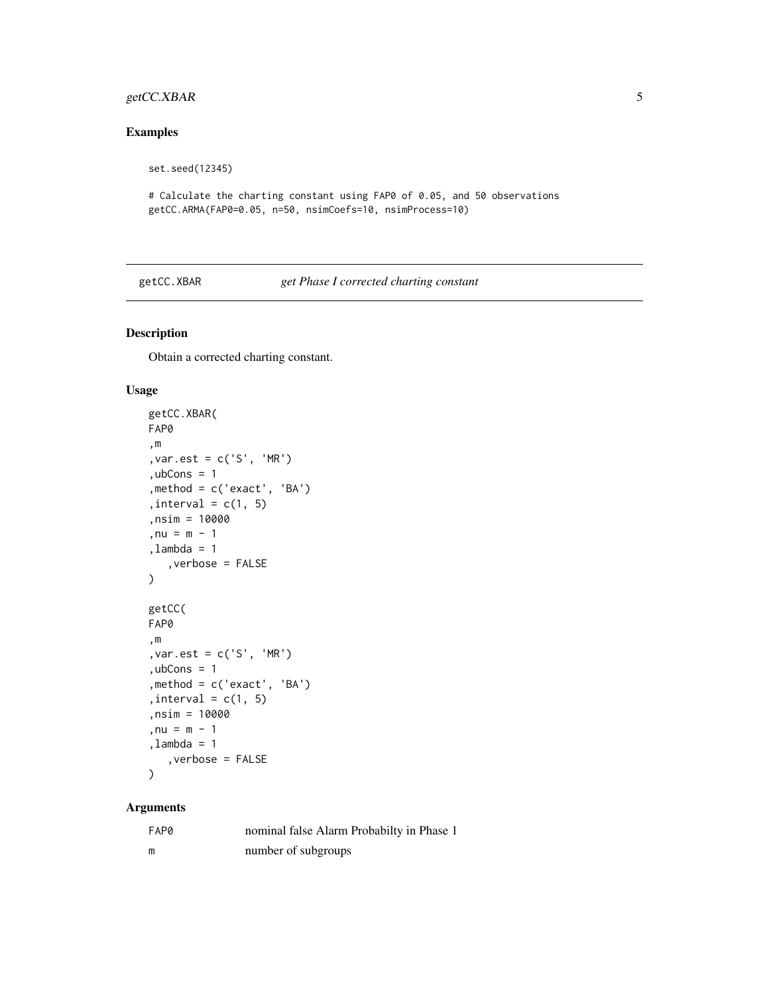## <span id="page-4-0"></span>getCC.XBAR 5

## Examples

set.seed(12345)

```
# Calculate the charting constant using FAP0 of 0.05, and 50 observations
getCC.ARMA(FAP0=0.05, n=50, nsimCoefs=10, nsimProcess=10)
```
#### getCC.XBAR *get Phase I corrected charting constant*

## Description

Obtain a corrected charting constant.

#### Usage

```
getCC.XBAR(
FAP0
,m
,var.est = c('S', 'MR')
, <i>ubCons</i> = 1,method = c('exact', 'BA')
, interval = c(1, 5),nsim = 10000
,nu = m - 1,lambda = 1
   ,verbose = FALSE
)
getCC(
FAP0
,m
,var.est = c('S', 'MR')
, <i>ubCons</i> = 1,method = c('exact', 'BA')
, interval = c(1, 5),nsim = 10000
, nu = m - 1,lambda = 1
   ,verbose = FALSE
\mathcal{E}
```
## Arguments

| FAP0 | nominal false Alarm Probabilty in Phase 1 |
|------|-------------------------------------------|
| m    | number of subgroups                       |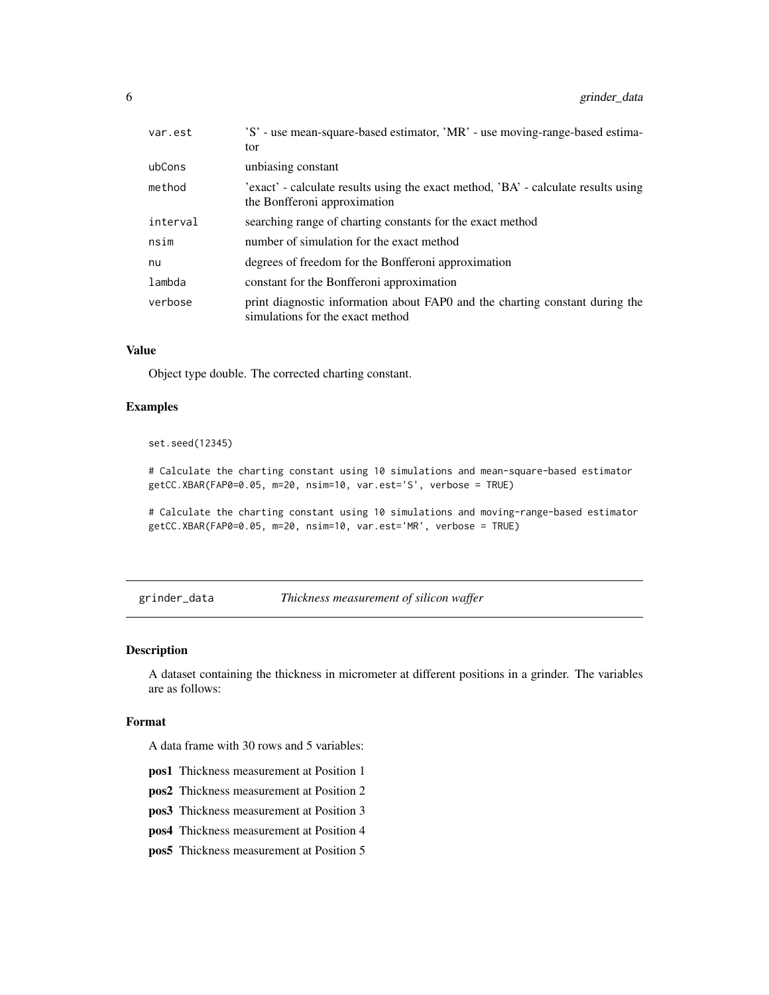<span id="page-5-0"></span>

| var.est  | 'S' - use mean-square-based estimator, 'MR' - use moving-range-based estima-                                       |
|----------|--------------------------------------------------------------------------------------------------------------------|
|          | tor                                                                                                                |
| ubCons   | unbiasing constant                                                                                                 |
| method   | 'exact' - calculate results using the exact method, 'BA' - calculate results using<br>the Bonfferoni approximation |
| interval | searching range of charting constants for the exact method                                                         |
| nsim     | number of simulation for the exact method                                                                          |
| nu       | degrees of freedom for the Bonfferoni approximation                                                                |
| lambda   | constant for the Bonfferoni approximation                                                                          |
| verbose  | print diagnostic information about FAPO and the charting constant during the<br>simulations for the exact method   |

#### Value

Object type double. The corrected charting constant.

#### Examples

set.seed(12345)

# Calculate the charting constant using 10 simulations and mean-square-based estimator getCC.XBAR(FAP0=0.05, m=20, nsim=10, var.est='S', verbose = TRUE)

# Calculate the charting constant using 10 simulations and moving-range-based estimator getCC.XBAR(FAP0=0.05, m=20, nsim=10, var.est='MR', verbose = TRUE)

grinder\_data *Thickness measurement of silicon waffer*

#### Description

A dataset containing the thickness in micrometer at different positions in a grinder. The variables are as follows:

#### Format

A data frame with 30 rows and 5 variables:

- pos1 Thickness measurement at Position 1
- pos2 Thickness measurement at Position 2
- pos3 Thickness measurement at Position 3
- pos4 Thickness measurement at Position 4
- pos5 Thickness measurement at Position 5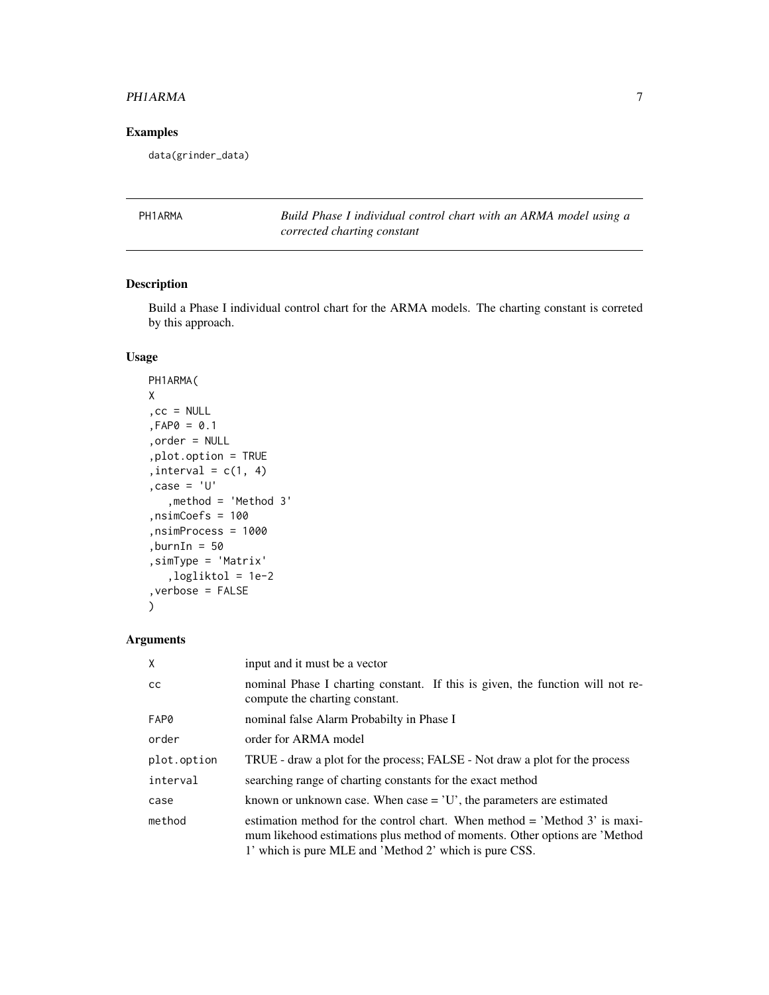#### <span id="page-6-0"></span>PHIARMA 7

## Examples

data(grinder\_data)

PH1ARMA *Build Phase I individual control chart with an ARMA model using a corrected charting constant*

## Description

Build a Phase I individual control chart for the ARMA models. The charting constant is correted by this approach.

## Usage

```
PH1ARMA(
X
, cc = NULL,FAP0 = 0.1
,order = NULL
,plot.option = TRUE
, interval = c(1, 4),case = 'U'
   ,method = 'Method 3'
,nsimCoefs = 100
,nsimProcess = 1000
,burnIn = 50
,simType = 'Matrix'
   ,logliktol = 1e-2
,verbose = FALSE
\mathcal{L}
```
#### Arguments

| $\mathsf{X}$  | input and it must be a vector                                                                                                                                                                                        |
|---------------|----------------------------------------------------------------------------------------------------------------------------------------------------------------------------------------------------------------------|
| <sub>CC</sub> | nominal Phase I charting constant. If this is given, the function will not re-<br>compute the charting constant.                                                                                                     |
| FAP0          | nominal false Alarm Probabilty in Phase I                                                                                                                                                                            |
| order         | order for ARMA model                                                                                                                                                                                                 |
| plot.option   | TRUE - draw a plot for the process; FALSE - Not draw a plot for the process                                                                                                                                          |
| interval      | searching range of charting constants for the exact method                                                                                                                                                           |
| case          | known or unknown case. When case $=$ $'U'$ , the parameters are estimated                                                                                                                                            |
| method        | estimation method for the control chart. When method $=$ 'Method 3' is maxi-<br>mum likehood estimations plus method of moments. Other options are 'Method<br>1' which is pure MLE and 'Method 2' which is pure CSS. |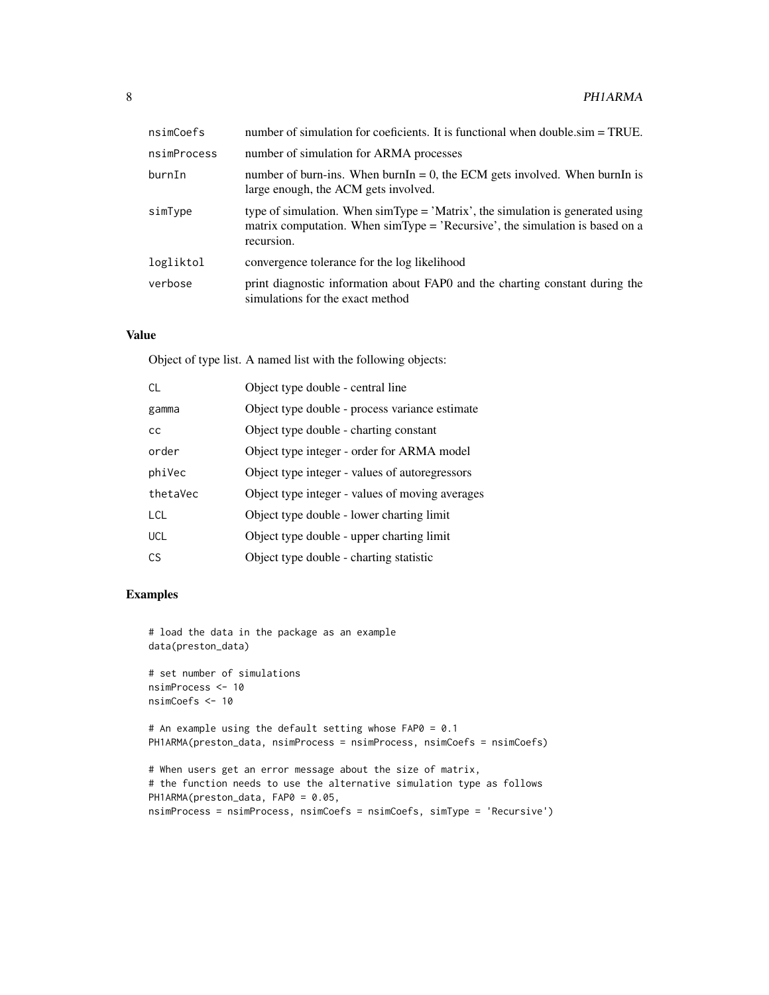| nsimCoefs   | number of simulation for coeficients. It is functional when double.sim = TRUE.                                                                                                                          |
|-------------|---------------------------------------------------------------------------------------------------------------------------------------------------------------------------------------------------------|
| nsimProcess | number of simulation for ARMA processes                                                                                                                                                                 |
| burnIn      | number of burn-ins. When burnIn = 0, the ECM gets involved. When burnIn is<br>large enough, the ACM gets involved.                                                                                      |
| simType     | type of simulation. When $\text{simType} = 'Matrix'$ , the simulation is generated using<br>matrix computation. When $\text{simType} = \text{'Recursive'}$ , the simulation is based on a<br>recursion. |
| logliktol   | convergence tolerance for the log likelihood                                                                                                                                                            |
| verbose     | print diagnostic information about FAPO and the charting constant during the<br>simulations for the exact method                                                                                        |

#### Value

Object of type list. A named list with the following objects:

| <b>CL</b>  | Object type double - central line               |
|------------|-------------------------------------------------|
| gamma      | Object type double - process variance estimate  |
| cc         | Object type double - charting constant          |
| order      | Object type integer - order for ARMA model      |
| phiVec     | Object type integer - values of autoregressors  |
| thetaVec   | Object type integer - values of moving averages |
| <b>LCL</b> | Object type double - lower charting limit       |
| <b>UCL</b> | Object type double - upper charting limit       |
| CS         | Object type double - charting statistic         |

## Examples

```
# load the data in the package as an example
data(preston_data)
```

```
# set number of simulations
nsimProcess <- 10
nsimCoefs <- 10
```
# An example using the default setting whose FAP0 = 0.1 PH1ARMA(preston\_data, nsimProcess = nsimProcess, nsimCoefs = nsimCoefs)

```
# When users get an error message about the size of matrix,
# the function needs to use the alternative simulation type as follows
PH1ARMA(preston_data, FAP0 = 0.05,
nsimProcess = nsimProcess, nsimCoefs = nsimCoefs, simType = 'Recursive')
```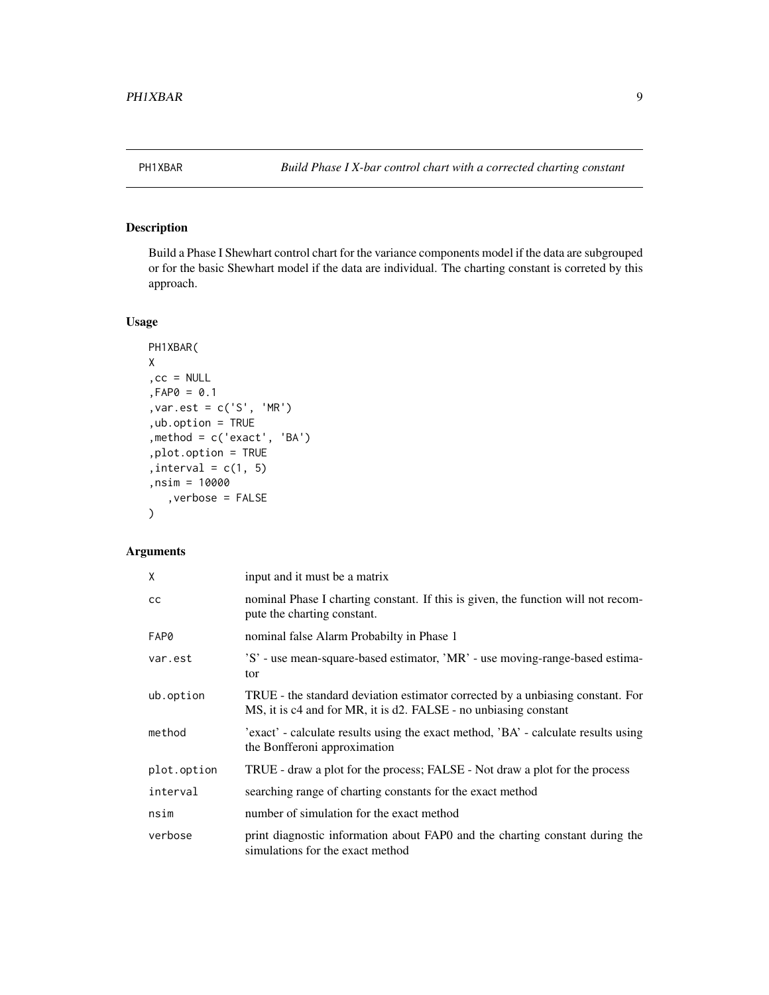<span id="page-8-0"></span>

## Description

Build a Phase I Shewhart control chart for the variance components model if the data are subgrouped or for the basic Shewhart model if the data are individual. The charting constant is correted by this approach.

## Usage

```
PH1XBAR(
X
,cc = NULL
,FAP0 = 0.1
,var.est = c('S', 'MR')
,ub.option = TRUE
,method = c('exact', 'BA')
,plot.option = TRUE
, interval = c(1, 5),nsim = 10000
   ,verbose = FALSE
)
```
## Arguments

| χ           | input and it must be a matrix                                                                                                                      |
|-------------|----------------------------------------------------------------------------------------------------------------------------------------------------|
| СC          | nominal Phase I charting constant. If this is given, the function will not recom-<br>pute the charting constant.                                   |
| FAP0        | nominal false Alarm Probabilty in Phase 1                                                                                                          |
| var.est     | 'S' - use mean-square-based estimator, 'MR' - use moving-range-based estima-<br>tor                                                                |
| ub.option   | TRUE - the standard deviation estimator corrected by a unbiasing constant. For<br>MS, it is c4 and for MR, it is d2. FALSE - no unbiasing constant |
| method      | 'exact' - calculate results using the exact method, 'BA' - calculate results using<br>the Bonfferoni approximation                                 |
| plot.option | TRUE - draw a plot for the process; FALSE - Not draw a plot for the process                                                                        |
| interval    | searching range of charting constants for the exact method                                                                                         |
| nsim        | number of simulation for the exact method                                                                                                          |
| verbose     | print diagnostic information about FAPO and the charting constant during the<br>simulations for the exact method                                   |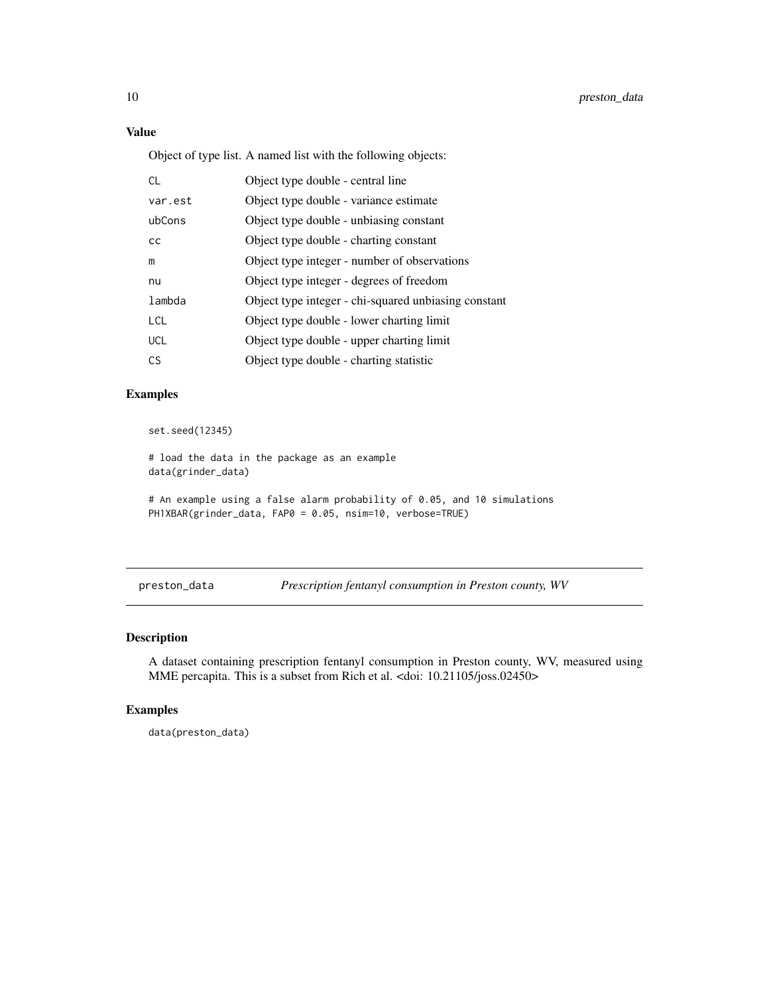## <span id="page-9-0"></span>Value

Object of type list. A named list with the following objects:

| <b>CL</b>  | Object type double - central line                    |
|------------|------------------------------------------------------|
| var.est    | Object type double - variance estimate               |
| ubCons     | Object type double - unbiasing constant              |
| cc         | Object type double - charting constant               |
| m          | Object type integer - number of observations         |
| nu         | Object type integer - degrees of freedom             |
| lambda     | Object type integer - chi-squared unbiasing constant |
| <b>LCL</b> | Object type double - lower charting limit            |
| <b>UCL</b> | Object type double - upper charting limit            |
| C.S        | Object type double - charting statistic              |

## Examples

```
set.seed(12345)
```

```
# load the data in the package as an example
data(grinder_data)
# An example using a false alarm probability of 0.05, and 10 simulations
PH1XBAR(grinder_data, FAP0 = 0.05, nsim=10, verbose=TRUE)
```
preston\_data *Prescription fentanyl consumption in Preston county, WV*

#### Description

A dataset containing prescription fentanyl consumption in Preston county, WV, measured using MME percapita. This is a subset from Rich et al. <doi: 10.21105/joss.02450>

#### Examples

data(preston\_data)